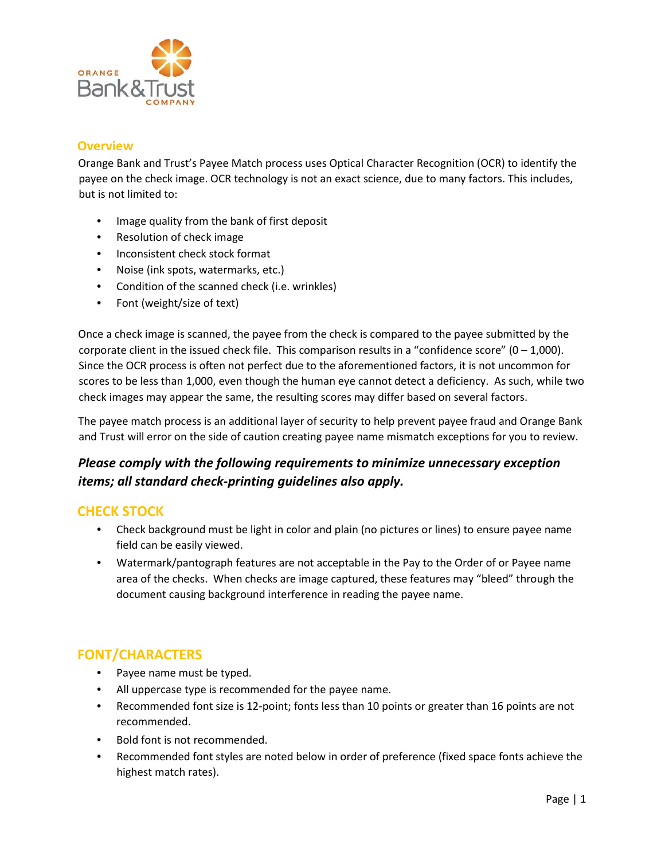

#### **Overview**

Orange Bank and Trust's Payee Match process uses Optical Character Recognition (OCR) to identify the payee on the check image. OCR technology is not an exact science, due to many factors. This includes, but is not limited to:

- Image quality from the bank of first deposit
- Resolution of check image
- Inconsistent check stock format
- Noise (ink spots, watermarks, etc.)
- Condition of the scanned check (i.e. wrinkles)
- Font (weight/size of text)

Once a check image is scanned, the payee from the check is compared to the payee submitted by the corporate client in the issued check file. This comparison results in a "confidence score"  $(0 - 1,000)$ . Since the OCR process is often not perfect due to the aforementioned factors, it is not uncommon for scores to be less than 1,000, even though the human eye cannot detect a deficiency. As such, while two check images may appear the same, the resulting scores may differ based on several factors.

The payee match process is an additional layer of security to help prevent payee fraud and Orange Bank and Trust will error on the side of caution creating payee name mismatch exceptions for you to review.

## *Please comply with the following requirements to minimize unnecessary exception items; all standard check-printing guidelines also apply.*

#### **CHECK STOCK**

- Check background must be light in color and plain (no pictures or lines) to ensure payee name field can be easily viewed.
- Watermark/pantograph features are not acceptable in the Pay to the Order of or Payee name area of the checks. When checks are image captured, these features may "bleed" through the document causing background interference in reading the payee name.

### **FONT/CHARACTERS**

- Payee name must be typed.
- All uppercase type is recommended for the payee name.
- Recommended font size is 12-point; fonts less than 10 points or greater than 16 points are not recommended.
- Bold font is not recommended.
- Recommended font styles are noted below in order of preference (fixed space fonts achieve the highest match rates).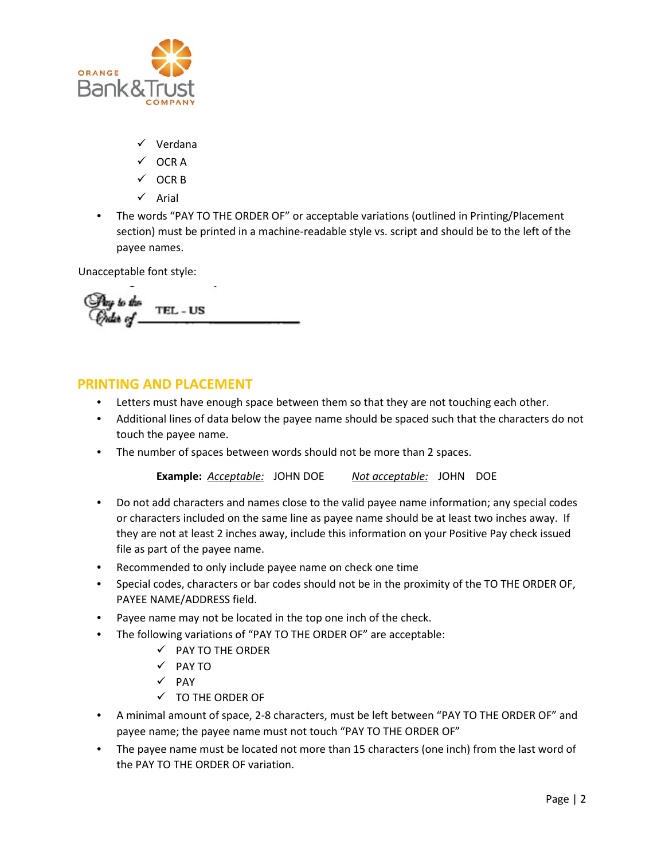

- $\checkmark$  Verdana
- $\checkmark$  OCRA
- $\checkmark$  OCR B
- $\checkmark$  Arial
- The words "PAY TO THE ORDER OF" or acceptable variations (outlined in Printing/Placement section) must be printed in a machine-readable style vs. script and should be to the left of the payee names.

Unacceptable font style:

TEL - US

#### **PRINTING AND PLACEMENT**

- Letters must have enough space between them so that they are not touching each other.
- Additional lines of data below the payee name should be spaced such that the characters do not touch the payee name.
- The number of spaces between words should not be more than 2 spaces.

**Example:** *Acceptable:* JOHN DOE *Not acceptable:* JOHN DOE

- Do not add characters and names close to the valid payee name information; any special codes or characters included on the same line as payee name should be at least two inches away. If they are not at least 2 inches away, include this information on your Positive Pay check issued file as part of the payee name.
- Recommended to only include payee name on check one time
- Special codes, characters or bar codes should not be in the proximity of the TO THE ORDER OF, PAYEE NAME/ADDRESS field.
- Payee name may not be located in the top one inch of the check.
- The following variations of "PAY TO THE ORDER OF" are acceptable:
	- $\checkmark$  PAY TO THE ORDER
	- $\sqrt{PAYTO}$
	- $\checkmark$  PAY
	- $\checkmark$  TO THE ORDER OF
- A minimal amount of space, 2-8 characters, must be left between "PAY TO THE ORDER OF" and payee name; the payee name must not touch "PAY TO THE ORDER OF"
- The payee name must be located not more than 15 characters (one inch) from the last word of the PAY TO THE ORDER OF variation.